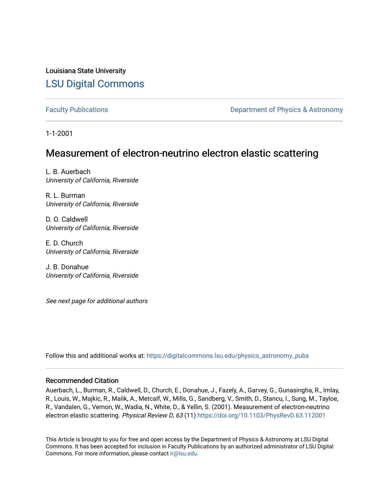Louisiana State University [LSU Digital Commons](https://digitalcommons.lsu.edu/)

[Faculty Publications](https://digitalcommons.lsu.edu/physics_astronomy_pubs) **Exercise 2 and Table 2 and Table 2 and Table 2 and Table 2 and Table 2 and Table 2 and Table 2 and Table 2 and Table 2 and Table 2 and Table 2 and Table 2 and Table 2 and Table 2 and Table 2 and Table** 

1-1-2001

## Measurement of electron-neutrino electron elastic scattering

L. B. Auerbach University of California, Riverside

R. L. Burman University of California, Riverside

D. O. Caldwell University of California, Riverside

E. D. Church University of California, Riverside

J. B. Donahue University of California, Riverside

See next page for additional authors

Follow this and additional works at: [https://digitalcommons.lsu.edu/physics\\_astronomy\\_pubs](https://digitalcommons.lsu.edu/physics_astronomy_pubs?utm_source=digitalcommons.lsu.edu%2Fphysics_astronomy_pubs%2F3446&utm_medium=PDF&utm_campaign=PDFCoverPages) 

#### Recommended Citation

Auerbach, L., Burman, R., Caldwell, D., Church, E., Donahue, J., Fazely, A., Garvey, G., Gunasingha, R., Imlay, R., Louis, W., Majkic, R., Malik, A., Metcalf, W., Mills, G., Sandberg, V., Smith, D., Stancu, I., Sung, M., Tayloe, R., Vandalen, G., Vemon, W., Wadia, N., White, D., & Yellin, S. (2001). Measurement of electron-neutrino electron elastic scattering. Physical Review D, 63 (11) <https://doi.org/10.1103/PhysRevD.63.112001>

This Article is brought to you for free and open access by the Department of Physics & Astronomy at LSU Digital Commons. It has been accepted for inclusion in Faculty Publications by an authorized administrator of LSU Digital Commons. For more information, please contact [ir@lsu.edu](mailto:ir@lsu.edu).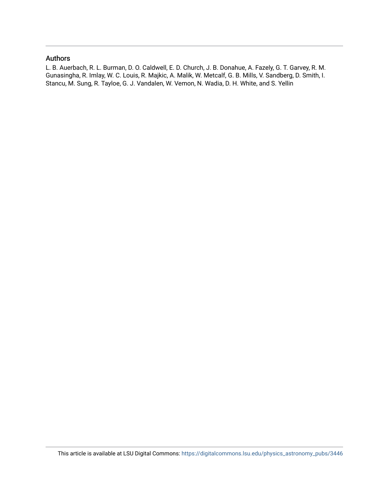#### Authors

L. B. Auerbach, R. L. Burman, D. O. Caldwell, E. D. Church, J. B. Donahue, A. Fazely, G. T. Garvey, R. M. Gunasingha, R. Imlay, W. C. Louis, R. Majkic, A. Malik, W. Metcalf, G. B. Mills, V. Sandberg, D. Smith, I. Stancu, M. Sung, R. Tayloe, G. J. Vandalen, W. Vemon, N. Wadia, D. H. White, and S. Yellin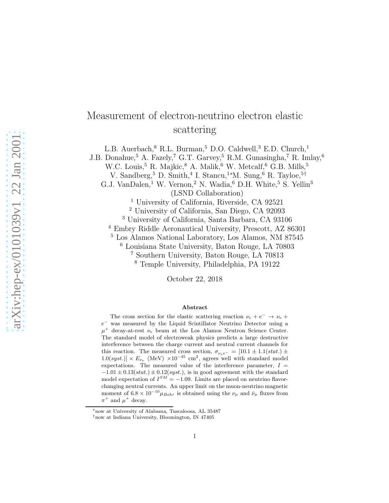# Measurement of electron-neutrino electron elastic scattering

L.B. Auerbach, $8$  R.L. Burman, $5$  D.O. Caldwell, $3$  E.D. Church, $1$ 

J.B. Donahue,<br/>5 A. Fazely, $7$  G.T. Garvey,<br/>5 R.M. Gunasingha, $7$ R. Imlay,<br/>  $^{6}$ 

W.C. Louis,<sup>5</sup> R. Majkic,<sup>8</sup> A. Malik,<sup>6</sup> W. Metcalf,<sup>6</sup> G.B. Mills,<sup>5</sup>

V. Sandberg,<sup>5</sup> D. Smith,<sup>4</sup> I. Stancu,<sup>1</sup>\*M. Sung,<sup>6</sup> R. Tayloe,<sup>5†</sup>

G.J. VanDalen,<sup>1</sup> W. Vernon,<sup>2</sup> N. Wadia,<sup>6</sup> D.H. White,<sup>5</sup> S. Yellin<sup>3</sup> (LSND Collaboration)

<sup>1</sup> University of California, Riverside, CA 92521

<sup>2</sup> University of California, San Diego, CA 92093

<sup>3</sup> University of California, Santa Barbara, CA 93106

<sup>4</sup> Embry Riddle Aeronautical University, Prescott, AZ 86301

<sup>5</sup> Los Alamos National Laboratory, Los Alamos, NM 87545

<sup>6</sup> Louisiana State University, Baton Rouge, LA 70803

<sup>7</sup> Southern University, Baton Rouge, LA 70813

<sup>8</sup> Temple University, Philadelphia, PA 19122

October 22, 2018

#### Abstract

The cross section for the elastic scattering reaction  $\nu_e + e^- \rightarrow \nu_e +$  $e^-$  was measured by the Liquid Scintillator Neutrino Detector using a  $\mu^+$  decay-at-rest  $\nu_e$  beam at the Los Alamos Neutron Science Center. The standard model of electroweak physics predicts a large destructive interference between the charge current and neutral current channels for this reaction. The measured cross section,  $\sigma_{\nu_e e^-} = [10.1 \pm 1.1(stat.) \pm$  $1.0(syst.) \times E_{\nu_e}$  (MeV)  $\times 10^{-45}$  cm<sup>2</sup>, agrees well with standard model expectations. The measured value of the interference parameter,  $I =$  $-1.01 \pm 0.13(stat.) \pm 0.12(syst.),$  is in good agreement with the standard model expectation of  $I^{SM} = -1.09$ . Limits are placed on neutrino flavorchanging neutral currents. An upper limit on the muon-neutrino magnetic moment of  $6.8 \times 10^{-10} \mu_{Bohr}$  is obtained using the  $\nu_{\mu}$  and  $\bar{\nu}_{\mu}$  fluxes from  $\pi^+$  and  $\mu^+$  decay.

<sup>∗</sup>now at University of Alabama, Tuscaloosa, AL 35487

<sup>†</sup>now at Indiana University, Bloomington, IN 47405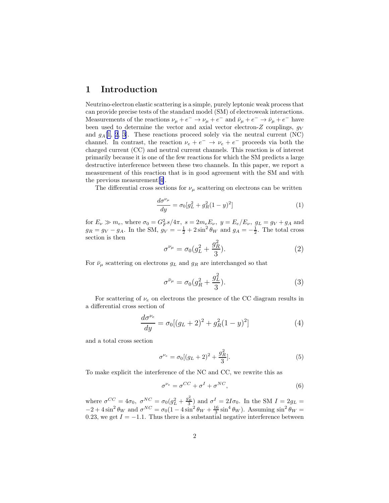#### 1 Introduction

Neutrino-electron elastic scattering is a simple, purely leptonic weak process that can provide precise tests of the standard model (SM) of electroweak interactions. Measurements of the reactions  $\nu_{\mu} + e^{-} \rightarrow \nu_{\mu} + e^{-}$  and  $\bar{\nu}_{\mu} + e^{-} \rightarrow \bar{\nu}_{\mu} + e^{-}$  have been used to determine the vector and axial vector electron-Z couplings,  $g_V$ and  $g_A[1, 2, 3]$  $g_A[1, 2, 3]$  $g_A[1, 2, 3]$  $g_A[1, 2, 3]$  $g_A[1, 2, 3]$  $g_A[1, 2, 3]$  $g_A[1, 2, 3]$ . These reactions proceed solely via the neutral current (NC) channel. In contrast, the reaction  $\nu_e + e^- \rightarrow \nu_e + e^-$  proceeds via both the charged current (CC) and neutral current channels. This reaction is of interest primarily because it is one of the few reactions for which the SM predicts a large destructive interference between these two channels. In this paper, we report a measurement of this reaction that is in good agreement with the SM and with the previous measurement[[4\]](#page-15-0).

The differential cross sections for  $\nu_{\mu}$  scattering on electrons can be written

$$
\frac{d\sigma^{\nu_{\mu}}}{dy} = \sigma_0[g_L^2 + g_R^2(1 - y)^2]
$$
\n(1)

for  $E_\nu \gg m_e$ , where  $\sigma_0 = G_F^2 s/4\pi$ ,  $s = 2m_e E_\nu$ ,  $y = E_e/E_\nu$ ,  $q_L = g_V + g_A$  and  $g_R = g_V - g_A$ . In the SM,  $g_V = -\frac{1}{2} + 2\sin^2\theta_W$  and  $g_A = -\frac{1}{2}$ . The total cross section is then

$$
\sigma^{\nu_{\mu}} = \sigma_0 (g_L^2 + \frac{g_R^2}{3}).
$$
\n(2)

For  $\bar{\nu}_{\mu}$  scattering on electrons  $g_L$  and  $g_R$  are interchanged so that

$$
\sigma^{\bar{\nu}_{\mu}} = \sigma_0 (g_R^2 + \frac{g_L^2}{3}).
$$
\n(3)

For scattering of  $\nu_e$  on electrons the presence of the CC diagram results in a differential cross section of

$$
\frac{d\sigma^{\nu_e}}{dy} = \sigma_0 [(g_L + 2)^2 + g_R^2 (1 - y)^2]
$$
\n(4)

and a total cross section

$$
\sigma^{\nu_e} = \sigma_0 [(g_L + 2)^2 + \frac{g_R^2}{3}]. \tag{5}
$$

To make explicit the interference of the NC and CC, we rewrite this as

$$
\sigma^{\nu_e} = \sigma^{CC} + \sigma^I + \sigma^{NC},\tag{6}
$$

where  $\sigma^{CC} = 4\sigma_0$ ,  $\sigma^{NC} = \sigma_0(g_L^2 + \frac{g_R^2}{3})$  and  $\sigma^I = 2I\sigma_0$ . In the SM  $I = 2g_L =$  $-2 + 4\sin^2\theta_W$  and  $\sigma^{NC} = \sigma_0(1 - 4\sin^2\theta_W + \frac{16}{3}\sin^4\theta_W)$ . Assuming  $\sin^2\theta_W =$ 0.23, we get  $I = -1.1$ . Thus there is a substantial negative interference between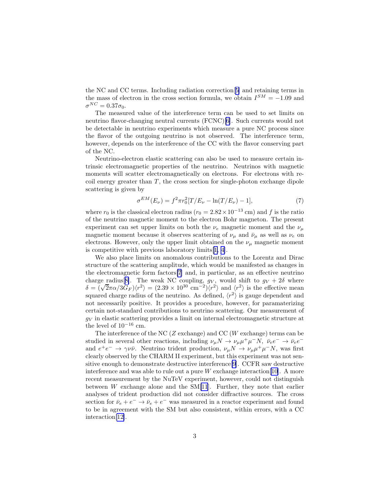<span id="page-4-0"></span>the NC and CC terms. Including radiation correction[[5\]](#page-15-0) and retaining terms in the mass of electron in the cross section formula, we obtain  $I^{SM} = -1.09$  and  $\sigma^{NC} = 0.37\sigma_0.$ 

The measured value of the interference term can be used to set limits on neutrino flavor-changing neutral currents (FCNC)[\[6](#page-15-0)]. Such currents would not be detectable in neutrino experiments which measure a pure NC process since the flavor of the outgoing neutrino is not observed. The interference term, however, depends on the interference of the CC with the flavor conserving part of the NC.

Neutrino-electron elastic scattering can also be used to measure certain intrinsic electromagnetic properties of the neutrino. Neutrinos with magnetic moments will scatter electromagnetically on electrons. For electrons with recoil energy greater than  $T$ , the cross section for single-photon exchange dipole scattering is given by

$$
\sigma^{EM}(E_{\nu}) = f^2 \pi r_0^2 [T/E_{\nu} - \ln(T/E_{\nu}) - 1], \tag{7}
$$

where  $r_0$  is the classical electron radius ( $r_0 = 2.82 \times 10^{-13}$  cm) and f is the ratio of the neutrino magnetic moment to the electron Bohr magneton. The present experiment can set upper limits on both the  $\nu_e$  magnetic moment and the  $\nu_\mu$ magnetic moment because it observes scattering of  $\nu_{\mu}$  and  $\bar{\nu}_{\mu}$  as well as  $\nu_{e}$  on electrons. However, only the upper limit obtained on the  $\nu_{\mu}$  magnetic moment is competitive with previous laboratory limits[[1, 4](#page-15-0)].

We also place limits on anomalous contributions to the Lorentz and Dirac structure of the scattering amplitude, which would be manifested as changes in the electromagnetic form factors[\[7](#page-15-0)] and, in particular, as an effective neutrino charge radius[[8\]](#page-15-0). The weak NC coupling,  $g_V$ , would shift to  $g_V + 2\delta$  where  $\delta = (\sqrt{2}\pi\alpha/3G_F)\langle r^2 \rangle = (2.39 \times 10^{30} \text{ cm}^{-2})\langle r^2 \rangle$  and  $\langle r^2 \rangle$  is the effective mean squared charge radius of the neutrino. As defined,  $\langle r^2 \rangle$  is gauge dependent and not necessarily positive. It provides a procedure, however, for paramaterizing certain not-standard contributions to neutrino scattering. Our measurement of  $g_V$  in elastic scattering provides a limit on internal electromagnetic structure at the level of  $10^{-16}$  cm.

The interference of the NC ( $Z$  exchange) and CC ( $W$  exchange) terms can be studied in several other reactions, including  $\nu_\mu N \to \nu_\mu \mu^+ \mu^- N$ ,  $\bar{\nu}_e e^- \to \bar{\nu}_e e^$ and  $e^+e^- \to \gamma \nu \bar{\nu}$ . Neutrino trident production,  $\nu_\mu N \to \nu_\mu \mu^+ \mu^- N$ , was first clearly observed by the CHARM II experiment, but this experiment was not sensitive enough to demonstrate destructive interference[\[9](#page-15-0)]. CCFR saw destructive interference and was able to rule out a pure  $W$  exchange interaction [\[10](#page-15-0)]. A more recent measurement by the NuTeV experiment, however, could not distinguish between  $W$  exchange alone and the SM[\[11](#page-15-0)]. Further, they note that earlier analyses of trident production did not consider diffractive sources. The cross section for  $\bar{\nu}_e + e^- \rightarrow \bar{\nu}_e + e^-$  was measured in a reactor experiment and found to be in agreement with the SM but also consistent, within errors, with a CC interaction[\[12\]](#page-15-0).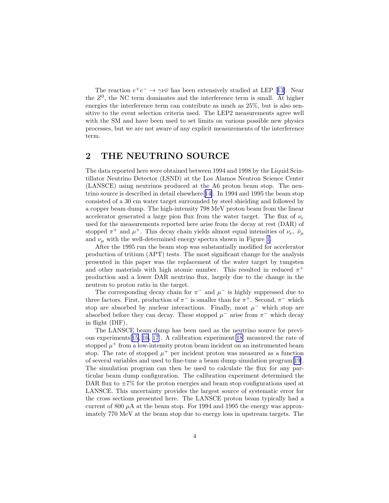<span id="page-5-0"></span>Thereaction  $e^+e^- \rightarrow \gamma \nu \bar{\nu}$  has been extensively studied at LEP [[13\]](#page-15-0). Near the  $Z<sup>0</sup>$ , the NC term dominates and the interference term is small. At higher energies the interference term can contribute as much as 25%, but is also sensitive to the event selection criteria used. The LEP2 measurements agree well with the SM and have been used to set limits on various possible new physics processes, but we are not aware of any explicit measurements of the interference term.

### 2 THE NEUTRINO SOURCE

The data reported here were obtained between 1994 and 1998 by the Liquid Scintillator Neutrino Detector (LSND) at the Los Alamos Neutron Science Center (LANSCE) using neutrinos produced at the A6 proton beam stop. The neutrino source is described in detail elsewhere[[14\]](#page-15-0). In 1994 and 1995 the beam stop consisted of a 30 cm water target surrounded by steel shielding and followed by a copper beam dump. The high-intensity 798 MeV proton beam from the linear accelerator generated a large pion flux from the water target. The flux of  $\nu_e$ used for the measurements reported here arise from the decay at rest (DAR) of stopped  $\pi^+$  and  $\mu^+$ . This decay chain yields almost equal intensities of  $\nu_e$ ,  $\bar{\nu}_\mu$ and  $\nu_{\mu}$  with the well-determined energy spectra shown in Figure [1.](#page-18-0)

After the 1995 run the beam stop was substantially modified for accelerator production of tritium (APT) tests. The most significant change for the analysis presented in this paper was the replacement of the water target by tungsten and other materials with high atomic number. This resulted in reduced  $\pi^+$ production and a lower DAR neutrino flux, largely due to the change in the neutron to proton ratio in the target.

The corresponding decay chain for  $\pi^-$  and  $\mu^-$  is highly suppressed due to three factors. First, production of  $\pi^-$  is smaller than for  $\pi^+$ . Second,  $\pi^-$  which stop are absorbed by nuclear interactions. Finally, most  $\mu^-$  which stop are absorbed before they can decay. These stopped  $\mu^{-}$  arise from  $\pi^{-}$  which decay in flight (DIF).

The LANSCE beam dump has been used as the neutrino source for previous experiments[[15, 16, 17\]](#page-16-0). A calibration experiment[\[18](#page-16-0)] measured the rate of stopped  $\mu^+$  from a low-intensity proton beam incident on an instrumented beam stop. The rate of stopped  $\mu^+$  per incident proton was measured as a function of several variables and used to fine-tune a beam dump simulation program[\[19\]](#page-16-0). The simulation program can then be used to calculate the flux for any particular beam dump configuration. The calibration experiment determined the DAR flux to  $\pm 7\%$  for the proton energies and beam stop configurations used at LANSCE. This uncertainty provides the largest source of systematic error for the cross sections presented here. The LANSCE proton beam typically had a current of 800  $\mu$ A at the beam stop. For 1994 and 1995 the energy was approximately 770 MeV at the beam stop due to energy loss in upstream targets. The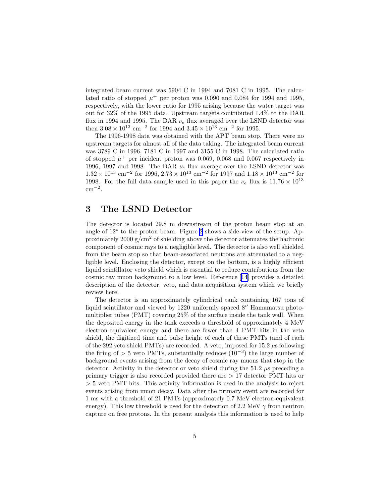<span id="page-6-0"></span>integrated beam current was 5904 C in 1994 and 7081 C in 1995. The calculated ratio of stopped  $\mu^+$  per proton was 0.090 and 0.084 for 1994 and 1995, respectively, with the lower ratio for 1995 arising because the water target was out for 32% of the 1995 data. Upstream targets contributed 1.4% to the DAR flux in 1994 and 1995. The DAR  $\nu_e$  flux averaged over the LSND detector was then  $3.08 \times 10^{13}$  cm<sup>-2</sup> for 1994 and  $3.45 \times 10^{13}$  cm<sup>-2</sup> for 1995.

The 1996-1998 data was obtained with the APT beam stop. There were no upstream targets for almost all of the data taking. The integrated beam current was 3789 C in 1996, 7181 C in 1997 and 3155 C in 1998. The calculated ratio of stopped  $\mu^+$  per incident proton was 0.069, 0.068 and 0.067 respectively in 1996, 1997 and 1998. The DAR  $\nu_e$  flux average over the LSND detector was  $1.32 \times 10^{13}$  cm<sup>-2</sup> for 1996,  $2.73 \times 10^{13}$  cm<sup>-2</sup> for 1997 and  $1.18 \times 10^{13}$  cm<sup>-2</sup> for 1998. For the full data sample used in this paper the  $\nu_e$  flux is  $11.76 \times 10^{13}$  $\text{cm}^{-2}$ .

## 3 The LSND Detector

The detector is located 29.8 m downstream of the proton beam stop at an angle of 12◦ to the proton beam. Figure [2](#page-18-0) shows a side-view of the setup. Approximately 2000  $g/cm^2$  of shielding above the detector attenuates the hadronic component of cosmic rays to a negligible level. The detector is also well shielded from the beam stop so that beam-associated neutrons are attenuated to a negligible level. Enclosing the detector, except on the bottom, is a highly efficient liquid scintillator veto shield which is essential to reduce contributions from the cosmic ray muon background to a low level. Reference[[14\]](#page-15-0) provides a detailed description of the detector, veto, and data acquisition system which we briefly review here.

The detector is an approximately cylindrical tank containing 167 tons of liquid scintillator and viewed by 1220 uniformly spaced 8′′ Hamamatsu photomultiplier tubes (PMT) covering 25% of the surface inside the tank wall. When the deposited energy in the tank exceeds a threshold of approximately 4 MeV electron-equivalent energy and there are fewer than 4 PMT hits in the veto shield, the digitized time and pulse height of each of these PMTs (and of each of the 292 veto shield PMTs) are recorded. A veto, imposed for  $15.2 \mu s$  following the firing of > 5 veto PMTs, substantially reduces  $(10^{-3})$  the large number of background events arising from the decay of cosmic ray muons that stop in the detector. Activity in the detector or veto shield during the 51.2  $\mu$ s preceding a primary trigger is also recorded provided there are > 17 detector PMT hits or > 5 veto PMT hits. This activity information is used in the analysis to reject events arising from muon decay. Data after the primary event are recorded for 1 ms with a threshold of 21 PMTs (approximately 0.7 MeV electron-equivalent energy). This low threshold is used for the detection of 2.2 MeV  $\gamma$  from neutron capture on free protons. In the present analysis this information is used to help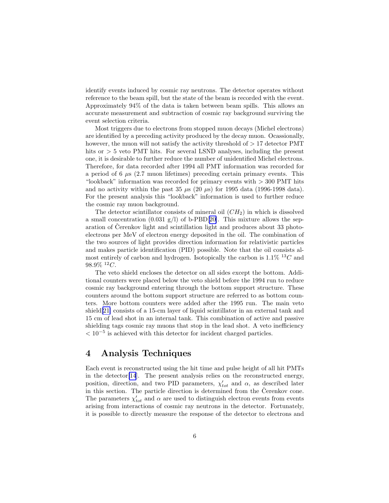<span id="page-7-0"></span>identify events induced by cosmic ray neutrons. The detector operates without reference to the beam spill, but the state of the beam is recorded with the event. Approximately 94% of the data is taken between beam spills. This allows an accurate measurement and subtraction of cosmic ray background surviving the event selection criteria.

Most triggers due to electrons from stopped muon decays (Michel electrons) are identified by a preceding activity produced by the decay muon. Ocassionally, however, the muon will not satisfy the activity threshold of  $> 17$  detector PMT hits or  $> 5$  veto PMT hits. For several LSND analyses, including the present one, it is desirable to further reduce the number of unidentified Michel electrons. Therefore, for data recorded after 1994 all PMT information was recorded for a period of 6  $\mu$ s (2.7 muon lifetimes) preceding certain primary events. This "lookback" information was recorded for primary events with > 300 PMT hits and no activity within the past 35  $\mu$ s (20  $\mu$ s) for 1995 data (1996-1998 data). For the present analysis this "lookback" information is used to further reduce the cosmic ray muon background.

The detector scintillator consists of mineral oil  $(CH<sub>2</sub>)$  in which is dissolved a small concentration  $(0.031 \text{ g/l})$  of b-PBD[[20\]](#page-16-0). This mixture allows the separation of Čerenkov light and scintillation light and produces about  $33$  photoelectrons per MeV of electron energy deposited in the oil. The combination of the two sources of light provides direction information for relativistic particles and makes particle identification (PID) possible. Note that the oil consists almost entirely of carbon and hydrogen. Isotopically the carbon is  $1.1\%$  <sup>13</sup>C and  $98.9\%~^{12}C.$ 

The veto shield encloses the detector on all sides except the bottom. Additional counters were placed below the veto shield before the 1994 run to reduce cosmic ray background entering through the bottom support structure. These counters around the bottom support structure are referred to as bottom counters. More bottom counters were added after the 1995 run. The main veto shield[\[21\]](#page-16-0) consists of a 15-cm layer of liquid scintillator in an external tank and 15 cm of lead shot in an internal tank. This combination of active and passive shielding tags cosmic ray muons that stop in the lead shot. A veto inefficiency  $< 10^{-5}$  is achieved with this detector for incident charged particles.

### 4 Analysis Techniques

Each event is reconstructed using the hit time and pulse height of all hit PMTs in the detector[\[14](#page-15-0)]. The present analysis relies on the reconstructed energy, position, direction, and two PID parameters,  $\chi'_{tot}$  and  $\alpha$ , as described later in this section. The particle direction is determined from the Čerenkov cone. The parameters  $\chi_{tot}'$  and  $\alpha$  are used to distinguish electron events from events arising from interactions of cosmic ray neutrons in the detector. Fortunately, it is possible to directly measure the response of the detector to electrons and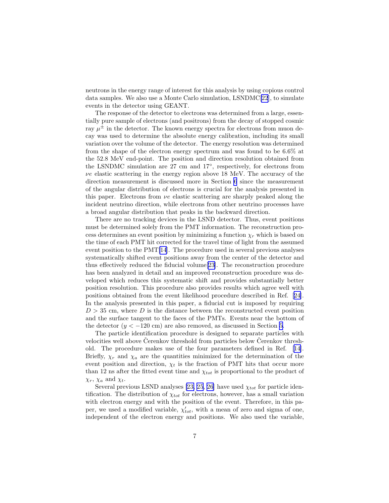neutrons in the energy range of interest for this analysis by using copious control data samples. We also use a Monte Carlo simulation, LSNDMC[\[22](#page-16-0)], to simulate events in the detector using GEANT.

The response of the detector to electrons was determined from a large, essentially pure sample of electrons (and positrons) from the decay of stopped cosmic ray  $\mu^{\pm}$  in the detector. The known energy spectra for electrons from muon decay was used to determine the absolute energy calibration, including its small variation over the volume of the detector. The energy resolution was determined from the shape of the electron energy spectrum and was found to be 6.6% at the 52.8 MeV end-point. The position and direction resolution obtained from the LSNDMC simulation are 27 cm and 17◦ , respectively, for electrons from  $\nu e$  elastic scattering in the energy region above 18 MeV. The accuracy of the direction measurement is discussed more in Section [6](#page-11-0) since the measurement of the angular distribution of electrons is crucial for the analysis presented in this paper. Electrons from  $\nu e$  elastic scattering are sharply peaked along the incident neutrino direction, while electrons from other neutrino processes have a broad angular distribution that peaks in the backward direction.

There are no tracking devices in the LSND detector. Thus, event positions must be determined solely from the PMT information. The reconstruction process determines an event position by minimizing a function  $\chi_r$  which is based on the time of each PMT hit corrected for the travel time of light from the assumed event position to the PMT[\[14](#page-15-0)]. The procedure used in several previous analyses systematically shifted event positions away from the center of the detector and thus effectively reduced the fiducial volume[[23\]](#page-16-0). The reconstruction procedure has been analyzed in detail and an improved reconstruction procedure was developed which reduces this systematic shift and provides substantially better position resolution. This procedure also provides results which agree well with positions obtained from the event likelihood procedure described in Ref.[[24\]](#page-16-0). In the analysis presented in this paper, a fiducial cut is imposed by requiring  $D > 35$  cm, where D is the distance between the reconstructed event position and the surface tangent to the faces of the PMTs. Events near the bottom of the detector  $(y < -120$  cm) are also removed, as discussed in Section [5](#page-9-0).

The particle identification procedure is designed to separate particles with velocities well above Cerenkov threshold from particles below Cerenkov threshold. The procedure makes use of the four parameters defined in Ref.[[14\]](#page-15-0). Briefly,  $\chi_r$  and  $\chi_a$  are the quantities minimized for the determination of the event position and direction,  $\chi_t$  is the fraction of PMT hits that occur more than 12 ns after the fitted event time and  $\chi_{tot}$  is proportional to the product of  $\chi_r$ ,  $\chi_a$  and  $\chi_t$ .

Several previous LSND analyses [\[23, 25](#page-16-0), [26\]](#page-16-0) have used  $\chi_{tot}$  for particle identification. The distribution of  $\chi_{tot}$  for electrons, however, has a small variation with electron energy and with the position of the event. Therefore, in this paper, we used a modified variable,  $\chi'_{tot}$ , with a mean of zero and sigma of one, independent of the electron energy and positions. We also used the variable,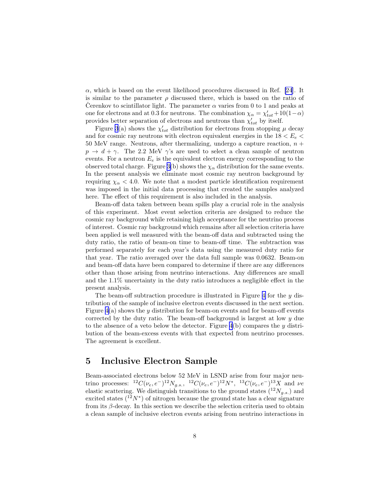<span id="page-9-0"></span> $\alpha$ , which is based on the event likelihood procedures discussed in Ref. [\[24](#page-16-0)]. It is similar to the parameter  $\rho$  discussed there, which is based on the ratio of Cerenkov to scintillator light. The parameter  $\alpha$  varies from 0 to 1 and peaks at one for electrons and at 0.3 for neutrons. The combination  $\chi_{\alpha} = \chi'_{tot} + 10(1-\alpha)$ provides better separation of electrons and neutrons than  $\chi'_{tot}$  by itself.

Figure [3](#page-19-0)(a) shows the  $\chi'_{tot}$  distribution for electrons from stopping  $\mu$  decay and for cosmic ray neutrons with electron equivalent energies in the  $18 < E_e <$ 50 MeV range. Neutrons, after thermalizing, undergo a capture reaction,  $n +$  $p \rightarrow d + \gamma$ . The 2.2 MeV  $\gamma$ 's are used to select a clean sample of neutron events. For a neutron  $E_e$  is the equivalent electron energy corresponding to the observed total charge. Figure [3\(](#page-19-0)b) shows the  $\chi_{\alpha}$  distribution for the same events. In the present analysis we eliminate most cosmic ray neutron background by requiring  $\chi_{\alpha}$  < 4.0. We note that a modest particle identification requirement was imposed in the initial data processing that created the samples analyzed here. The effect of this requirement is also included in the analysis.

Beam-off data taken between beam spills play a crucial role in the analysis of this experiment. Most event selection criteria are designed to reduce the cosmic ray background while retaining high acceptance for the neutrino process of interest. Cosmic ray background which remains after all selection criteria have been applied is well measured with the beam-off data and subtracted using the duty ratio, the ratio of beam-on time to beam-off time. The subtraction was performed separately for each year's data using the measured duty ratio for that year. The ratio averaged over the data full sample was 0.0632. Beam-on and beam-off data have been compared to determine if there are any differences other than those arising from neutrino interactions. Any differences are small and the 1.1% uncertainty in the duty ratio introduces a negligible effect in the present analysis.

The beam-off subtraction procedure is illustrated in Figure [4](#page-19-0) for the y distribution of the sample of inclusive electron events discussed in the next section. Figure  $4(a)$  shows the y distribution for beam-on events and for beam-off events corrected by the duty ratio. The beam-off background is largest at low y due to the absence of a veto below the detector. Figure  $4(b)$  compares the y distribution of the beam-excess events with that expected from neutrino processes. The agreement is excellent.

#### 5 Inclusive Electron Sample

Beam-associated electrons below 52 MeV in LSND arise from four major neutrino processes:  ${}^{12}C(\nu_e, e^-){}^{12}N_{g.s.}$ ,  ${}^{12}C(\nu_e, e^-){}^{12}N^*$ ,  ${}^{13}C(\nu_e, e^-){}^{13}X$  and  $\nu e$ elastic scattering. We distinguish transitions to the ground states  $(^{12}N_{g.s.})$  and excited states  $(1^2N^*)$  of nitrogen because the ground state has a clear signature from its  $\beta$ -decay. In this section we describe the selection criteria used to obtain a clean sample of inclusive electron events arising from neutrino interactions in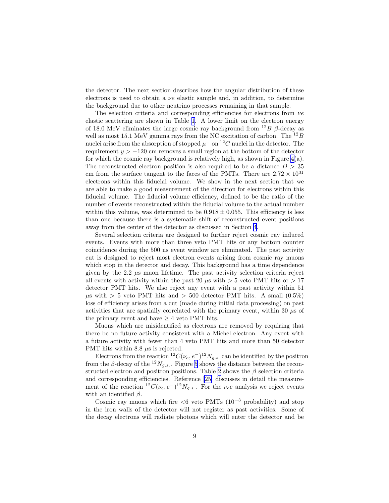the detector. The next section describes how the angular distribution of these electrons is used to obtain a  $\nu e$  elastic sample and, in addition, to determine the background due to other neutrino processes remaining in that sample.

The selection criteria and corresponding efficiencies for electrons from  $\nu e$ elastic scattering are shown in Table [1.](#page-17-0) A lower limit on the electron energy of 18.0 MeV eliminates the large cosmic ray background from  $^{12}B$   $\beta$ -decay as well as most 15.1 MeV gamma rays from the NC excitation of carbon. The  $^{12}B$ nuclei arise from the absorption of stopped  $\mu^-$  on  $^{12}C$  nuclei in the detector. The requirement  $y > -120$  cm removes a small region at the bottom of the detector for which the cosmic ray background is relatively high, as shown in Figure  $4(a)$ . The reconstructed electron position is also required to be a distance  $D > 35$ cm from the surface tangent to the faces of the PMTs. There are  $2.72 \times 10^{31}$ electrons within this fiducial volume. We show in the next section that we are able to make a good measurement of the direction for electrons within this fiducial volume. The fiducial volume efficiency, defined to be the ratio of the number of events reconstructed within the fiducial volume to the actual number within this volume, was determined to be  $0.918 \pm 0.055$ . This efficiency is less than one because there is a systematic shift of reconstructed event positions away from the center of the detector as discussed in Section [4](#page-7-0).

Several selection criteria are designed to further reject cosmic ray induced events. Events with more than three veto PMT hits or any bottom counter coincidence during the 500 ns event window are eliminated. The past activity cut is designed to reject most electron events arising from cosmic ray muons which stop in the detector and decay. This background has a time dependence given by the 2.2  $\mu$ s muon lifetime. The past activity selection criteria reject all events with activity within the past 20  $\mu$ s with  $> 5$  veto PMT hits or  $> 17$ detector PMT hits. We also reject any event with a past activity within 51  $\mu$ s with > 5 veto PMT hits and > 500 detector PMT hits. A small (0.5%) loss of efficiency arises from a cut (made during initial data processing) on past activities that are spatially correlated with the primary event, within 30  $\mu$ s of the primary event and have  $\geq 4$  veto PMT hits.

Muons which are misidentified as electrons are removed by requiring that there be no future activity consistent with a Michel electron. Any event with a future activity with fewer than 4 veto PMT hits and more than 50 detector PMT hits within 8.8  $\mu$ s is rejected.

Electrons from the reaction  ${}^{12}C(\nu_e, e^-){}^{12}N_{g.s.}$  can be identified by the positron from the  $\beta$ -decay of the <sup>12</sup>N<sub>g.s.</sub>. Figure [5](#page-20-0) shows the distance between the recon-structed electron and positron positions. Table [2](#page-17-0) shows the  $\beta$  selection criteria and corresponding efficiencies. Reference [\[25\]](#page-16-0) discusses in detail the measurement of the reaction  ${}^{12}C(\nu_e, e^-){}^{12}N_{g.s.}$ . For the  $\nu_e e$  analysis we reject events with an identified  $\beta$ .

Cosmic ray muons which fire  $< 6$  veto PMTs (10<sup>-3</sup> probability) and stop in the iron walls of the detector will not register as past activities. Some of the decay electrons will radiate photons which will enter the detector and be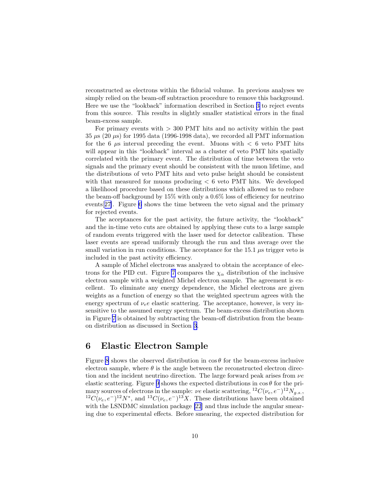<span id="page-11-0"></span>reconstructed as electrons within the fiducial volume. In previous analyses we simply relied on the beam-off subtraction procedure to remove this background. Here we use the "lookback" information described in Section [3](#page-6-0) to reject events from this source. This results in slightly smaller statistical errors in the final beam-excess sample.

For primary events with > 300 PMT hits and no activity within the past  $35 \mu s$  (20  $\mu s$ ) for 1995 data (1996-1998 data), we recorded all PMT information for the 6  $\mu$ s interval preceding the event. Muons with  $\lt$  6 veto PMT hits will appear in this "lookback" interval as a cluster of veto PMT hits spatially correlated with the primary event. The distribution of time between the veto signals and the primary event should be consistent with the muon lifetime, and the distributions of veto PMT hits and veto pulse height should be consistent with that measured for muons producing < 6 veto PMT hits. We developed a likelihood procedure based on these distributions which allowed us to reduce the beam-off background by 15% with only a 0.6% loss of efficiency for neutrino events[[27\]](#page-16-0). Figure [6](#page-20-0) shows the time between the veto signal and the primary for rejected events.

The acceptances for the past activity, the future activity, the "lookback" and the in-time veto cuts are obtained by applying these cuts to a large sample of random events triggered with the laser used for detector calibration. These laser events are spread uniformly through the run and thus average over the small variation in run conditions. The acceptance for the  $15.1 \mu s$  trigger veto is included in the past activity efficiency.

A sample of Michel electrons was analyzed to obtain the acceptance of elec-trons for the PID cut. Figure [7](#page-21-0) compares the  $\chi_{\alpha}$  distribution of the inclusive electron sample with a weighted Michel electron sample. The agreement is excellent. To eliminate any energy dependence, the Michel electrons are given weights as a function of energy so that the weighted spectrum agrees with the energy spectrum of  $\nu_e e$  elastic scattering. The acceptance, however, is very insensitive to the assumed energy spectrum. The beam-excess distribution shown in Figure [7](#page-21-0) is obtained by subtracting the beam-off distribution from the beamon distribution as discussed in Section [3](#page-6-0).

### 6 Elastic Electron Sample

Figure [8](#page-21-0) shows the observed distribution in  $\cos \theta$  for the beam-excess inclusive electron sample, where  $\theta$  is the angle between the reconstructed electron direction and the incident neutrino direction. The large forward peak arises from  $\nu e$ elastic scattering. Figure [9](#page-22-0) shows the expected distributions in  $\cos \theta$  for the primary sources of electrons in the sample:  $\nu e$  elastic scattering,  ${}^{12}C(\nu_e, e^-){}^{12}N_{g.s.}$ ,  ${}^{12}C(\nu_e, e^-){}^{12}N^*$ , and  ${}^{13}C(\nu_e, e^-){}^{13}X$ . These distributions have been obtained with the LSNDMC simulation package [\[22](#page-16-0)] and thus include the angular smearing due to experimental effects. Before smearing, the expected distribution for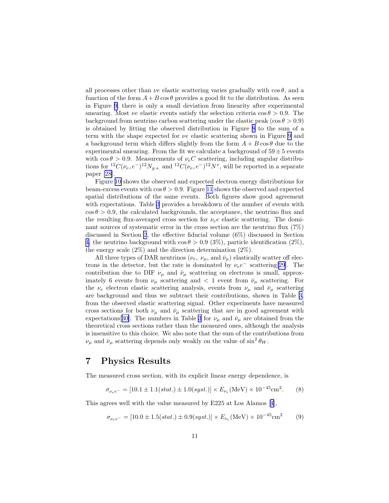all processes other than  $\nu e$  elastic scattering varies gradually with  $\cos \theta$ , and a function of the form  $A + B \cos \theta$  provides a good fit to the distribution. As seen in Figure [9,](#page-22-0) there is only a small deviation from linearity after experimental smearing. Most  $\nu e$  elastic events satisfy the selection criteria  $\cos \theta > 0.9$ . The background from neutrino carbon scattering under the elastic peak (cos  $\theta > 0.9$ ) is obtained by fitting the observed distribution in Figure [8](#page-21-0) to the sum of a term with the shape expected for  $\nu e$  elastic scattering shown in Figure [9](#page-22-0) and a background term which differs slightly from the form  $A + B \cos \theta$  due to the experimental smearing. From the fit we calculate a background of  $59 \pm 5$  events with  $\cos \theta > 0.9$ . Measurements of  $\nu_e C$  scattering, including angular distributions for  ${}^{12}C(\nu_e, e^-){}^{12}N_{g.s.}$  and  ${}^{12}C(\nu_e, e^-){}^{12}N^*$ , will be reported in a separate paper [\[28\]](#page-16-0).

Figure [10](#page-22-0) shows the observed and expected electron energy distributions for beam-excess events with  $\cos \theta > 0.9$ . Figure [11](#page-23-0) shows the observed and expected spatial distributions of the same events. Both figures show good agreement with expectations. Table [3](#page-17-0) provides a breakdown of the number of events with  $\cos \theta > 0.9$ , the calculated backgrounds, the acceptance, the neutrino flux and the resulting flux-averaged cross section for  $\nu_e e$  elastic scattering. The dominant sources of systematic error in the cross section are the neutrino flux (7%) discussed in Section [2](#page-5-0), the effective fiducial volume (6%) discussed in Section [4,](#page-7-0) the neutrino background with  $\cos \theta > 0.9$  (3%), particle identification (2%), the energy scale (2%) and the direction determination (2%).

All three types of DAR neutrinos  $(\nu_e, \nu_\mu, \text{ and } \bar{\nu}_\mu)$  elastically scatter off electrons in the detector, but the rate is dominated by  $\nu_e e^-$  scattering[[29\]](#page-16-0). The contribution due to DIF  $\nu_{\mu}$  and  $\bar{\nu}_{\mu}$  scattering on electrons is small, approximately 6 events from  $\nu_{\mu}$  scattering and  $\langle 1 \rangle$  event from  $\bar{\nu}_{\mu}$  scattering. For the  $\nu_e$  electron elastic scattering analysis, events from  $\nu_\mu$  and  $\bar{\nu}_\mu$  scattering are background and thus we subtract their contributions, shown in Table [3,](#page-17-0) from the observed elastic scattering signal. Other experiments have measured cross sections for both  $\nu_{\mu}$  and  $\bar{\nu}_{\mu}$  scattering that are in good agreement with expectations [[30\]](#page-16-0). The numbers in Table [3](#page-17-0) for  $\nu_{\mu}$  and  $\bar{\nu}_{\mu}$  are obtained from the theoretical cross sections rather than the measured ones, although the analysis is insensitive to this choice. We also note that the sum of the contributions from  $\nu_{\mu}$  and  $\bar{\nu}_{\mu}$  scattering depends only weakly on the value of  $\sin^2 \theta_W$ .

### 7 Physics Results

The measured cross section, with its explicit linear energy dependence, is

$$
\sigma_{\nu_e e^-} = [10.1 \pm 1.1(stat.) \pm 1.0(syst.)] \times E_{\nu_e}(\text{MeV}) \times 10^{-45} \text{cm}^2. \tag{8}
$$

This agrees well with the value measured by E225 at Los Alamos[[4\]](#page-15-0),

$$
\sigma_{\nu_e e^-} = [10.0 \pm 1.5(stat.) \pm 0.9(syst.)] \times E_{\nu_e}(\text{MeV}) \times 10^{-45} \text{cm}^2 \tag{9}
$$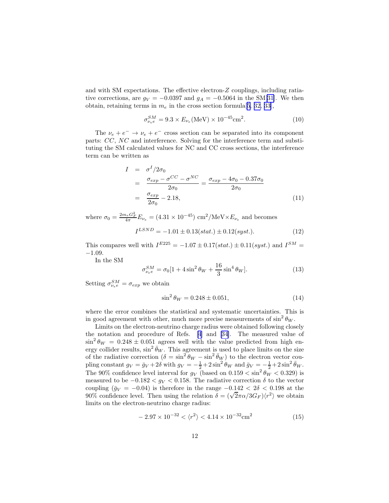and with SM expectations. The effective electron-Z couplings, including ratiative corrections, are  $g_V = -0.0397$  and  $g_A = -0.5064$  in the SM[[31\]](#page-16-0). We then obtain, retaining terms in  $m_e$  in the cross section formula [\[5,](#page-15-0) [32, 33\]](#page-16-0),

$$
\sigma_{\nu_e e}^{SM} = 9.3 \times E_{\nu_e} (\text{MeV}) \times 10^{-45} \text{cm}^2. \tag{10}
$$

The  $\nu_e + e^- \rightarrow \nu_e + e^-$  cross section can be separated into its component parts: CC, NC and interference. Solving for the interference term and substituting the SM calculated values for NC and CC cross sections, the interference term can be written as

$$
I = \sigma^I / 2\sigma_0
$$
  
= 
$$
\frac{\sigma_{exp} - \sigma^{CC} - \sigma^{NC}}{2\sigma_0} = \frac{\sigma_{exp} - 4\sigma_0 - 0.37\sigma_0}{2\sigma_0}
$$
  
= 
$$
\frac{\sigma_{exp}}{2\sigma_0} - 2.18,
$$
 (11)

where  $\sigma_0 = \frac{2m_e G_F^2}{4\pi} E_{\nu_e} = (4.31 \times 10^{-45}) \text{ cm}^2/\text{MeV} \times E_{\nu_e}$  and becomes

$$
I^{LSND} = -1.01 \pm 0.13(stat.) \pm 0.12(syst.). \tag{12}
$$

This compares well with  $I^{E225} = -1.07 \pm 0.17(stat.) \pm 0.11(syst.)$  and  $I^{SM} =$ −1.09.

In the SM

$$
\sigma_{\nu_{ee}}^{SM} = \sigma_0 [1 + 4\sin^2 \theta_W + \frac{16}{3} \sin^4 \theta_W].
$$
 (13)

Setting  $\sigma_{\nu_e e}^{SM} = \sigma_{exp}$  we obtain

$$
\sin^2 \theta_W = 0.248 \pm 0.051,\tag{14}
$$

where the error combines the statistical and systematic uncertainties. This is in good agreement with other, much more precise measurements of  $\sin^2 \theta_W$ .

Limits on the electron-neutrino charge radius were obtained following closely the notation and procedure of Refs. [\[4](#page-15-0)] and[[34\]](#page-16-0). The measured value of  $\sin^2 \theta_W = 0.248 \pm 0.051$  agrees well with the value predicted from high energy collider results,  $\sin^2 \bar{\theta}_W$ . This agreement is used to place limits on the size of the radiative correction  $(\delta = \sin^2 \theta_W - \sin^2 \overline{\theta}_W)$  to the electron vector coupling constant  $g_V = \bar{g}_V + 2\delta$  with  $g_V = -\frac{1}{2} + 2\sin^2\theta_W$  and  $\bar{g}_V = -\frac{1}{2} + 2\sin^2\bar{\theta}_W$ . The 90% confidence level interval for  $g_V$  (based on 0.159  $\langle \sin^2 \theta_W \rangle$  < 0.329) is measured to be  $-0.182 < g_V < 0.158$ . The radiative correction  $\delta$  to the vector coupling ( $\bar{g}_V = -0.04$ ) is therefore in the range  $-0.142 < 2\delta < 0.198$  at the 90% confidence level. Then using the relation  $\delta = (\sqrt{2}\pi\alpha/3G_F)\langle r^2 \rangle$  we obtain limits on the electron-neutrino charge radius:

$$
-2.97 \times 10^{-32} < \langle r^2 \rangle < 4.14 \times 10^{-32} \text{cm}^2
$$
 (15)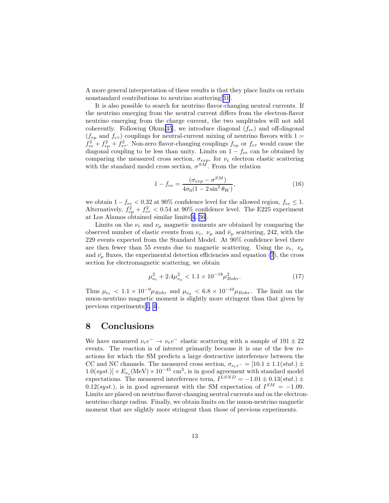A more general interpretation of these results is that they place limits on certain nonstandard contributions to neutrino scattering[[31\]](#page-16-0).

It is also possible to search for neutrino flavor-changing neutral currents. If the neutrino emerging from the neutral current differs from the electron-flavor neutrino emerging from the charge current, the two amplitudes will not add coherently. Following Okun<sup>[\[35](#page-16-0)]</sup>, we introduce diagonal  $(f_{ee})$  and off-diagonal  $(f_{e\mu}$  and  $f_{e\tau}$ ) couplings for neutral-current mixing of neutrino flavors with 1 =  $f_{ee}^2 + f_{e\mu}^2 + f_{e\tau}^2$ . Non-zero flavor-changing couplings  $f_{e\mu}$  or  $f_{e\tau}$  would cause the diagonal coupling to be less than unity. Limits on  $1 - f_{ee}$  can be obtained by comparing the measured cross section,  $\sigma_{exp}$ , for  $\nu_e$  electron elastic scattering with the standard model cross section,  $\sigma^{SM}$ . From the relation

$$
1 - f_{ee} = \frac{(\sigma_{exp} - \sigma^{SM})}{4\sigma_0 (1 - 2\sin^2 \theta_W)},
$$
\n(16)

we obtain  $1 - f_{ee} < 0.32$  at 90% confidence level for the allowed region,  $f_{ee} \leq 1$ . Alternatively,  $f_{e\mu}^2 + f_{e\tau}^2 < 0.54$  at 90% confidence level. The E225 experiment at Los Alamos obtained similar limits[[4,](#page-15-0) [36](#page-16-0)].

Limits on the  $\nu_e$  and  $\nu_\mu$  magnetic moments are obtained by comparing the observed number of elastic events from  $\nu_e$ ,  $\nu_\mu$  and  $\bar{\nu}_\mu$  scattering, 242, with the 229 events expected from the Standard Model. At 90% confidence level there are then fewer than 55 events due to magnetic scattering. Using the  $\nu_e$ ,  $\nu_\mu$ and  $\bar{\nu}_{\mu}$  fluxes, the experimental detection efficiencies and equation [\(7](#page-4-0)), the cross section for electromagnetic scattering, we obtain

$$
\mu_{\nu_e}^2 + 2.4\mu_{\nu_\mu}^2 < 1.1 \times 10^{-18} \mu_{Bohr}^2. \tag{17}
$$

Thus  $\mu_{\nu_e}$  < 1.1 × 10<sup>-9</sup> $\mu_{Bohr}$  and  $\mu_{\nu_{\mu}}$  < 6.8 × 10<sup>-10</sup> $\mu_{Bohr}$ . The limit on the muon-neutrino magnetic moment is slightly more stringent than that given by previous experiments[[1, 4\]](#page-15-0).

## 8 Conclusions

We have measured  $\nu_e e^- \rightarrow \nu_e e^-$  elastic scattering with a sample of  $191 \pm 22$ events. The reaction is of interest primarily because it is one of the few reactions for which the SM predicts a large destructive interference between the CC and NC channels. The measured cross section,  $\sigma_{\nu_e e^-} = [10.1 \pm 1.1(stat.) \pm$  $1.0(syst.)] \times E_{\nu_e}(\text{MeV}) \times 10^{-45} \text{ cm}^2$ , is in good agreement with standard model expectations. The measured interference term,  $I^{LSND} = -1.01 \pm 0.13(stat.) \pm$  $0.12(syst.)$ , is in good agreement with the SM expectation of  $I^{SM} = -1.09$ . Limits are placed on neutrino flavor-changing neutral currents and on the electronneutrino charge radius. Finally, we obtain limits on the muon-neutrino magnetic moment that are slightly more stringent than those of previous experiments.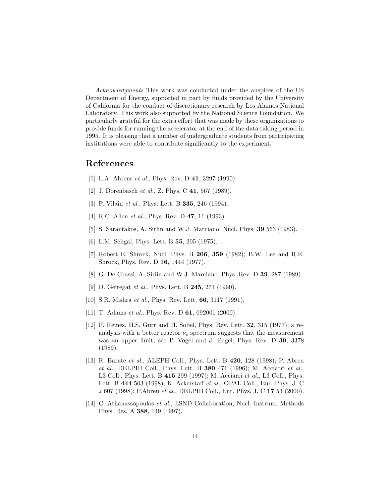<span id="page-15-0"></span>Acknowledgments This work was conducted under the auspices of the US Department of Energy, supported in part by funds provided by the University of California for the conduct of discretionary research by Los Alamos National Laboratory. This work also supported by the National Science Foundation. We particularly grateful for the extra effort that was made by these organizations to provide funds for running the accelerator at the end of the data taking period in 1995. It is pleasing that a number of undergraduate students from participating institutions were able to contribute significantly to the experiment.

#### References

- [1] L.A. Ahrens *et al.*, Phys. Rev. D **41**, 3297 (1990).
- [2] J. Dorenbasch *et al.*, Z. Phys. C **41**, 567 (1989).
- [3] P. Vilain *et al.*, Phys. Lett. B **335**, 246 (1994).
- [4] R.C. Allen *et al.*, Phys. Rev. D **47**, 11 (1993).
- [5] S. Sarantakos, A. Sirlin and W.J. Marciano, Nucl. Phys. 39 563 (1983).
- [6] L.M. Sehgal, Phys. Lett. B 55, 205 (1975).
- [7] Robert E. Shrock, Nucl. Phys. B 206, 359 (1982); B.W. Lee and R.E. Shrock, Phys. Rev. D 16, 1444 (1977).
- [8] G. De Grassi, A. Sirlin and W.J. Marciano, Phys. Rev. D 39, 287 (1989).
- [9] D. Geiregat *et al.*, Phys. Lett. B **245**, 271 (1990).
- [10] S.R. Mishra *et al.*, Phys. Rev. Lett. **66**, 3117 (1991).
- [11] T. Adams *et al.*, Phys. Rev. D **61**, 092001 (2000).
- [12] F. Reines, H.S. Gurr and H. Sobel, Phys. Rev. Lett. 32, 315 (1977); a reanalysis with a better reactor  $\bar{\nu}_e$  spectrum suggests that the measurement was an upper limit, see P. Vogel and J. Engel, Phys. Rev. D 39, 3378 (1989).
- [13] R. Barate *et al.*, ALEPH Coll., Phys. Lett. B **420**, 128 (1998); P. Abreu et al., DELPHI Coll., Phys. Lett. B  $380\,471\,$  (1996); M. Acciarri et al., L3 Coll., Phys. Lett. B 415 299 (1997); M. Acciarri et al., L3 Coll., Phys. Lett. B 444 503 (1998); K. Ackerstaff et al., OPAL Coll., Eur. Phys. J. C 2 607 (1998); P.Abreu et al., DELPHI Coll., Eur. Phys. J. C 17 53 (2000).
- [14] C. Athanassopoulos et al., LSND Collaboration, Nucl. Instrum. Methods Phys. Res. A 388, 149 (1997).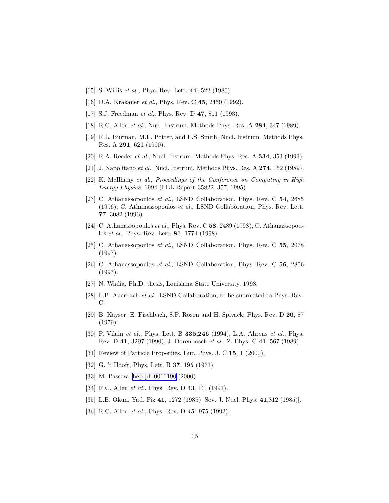- <span id="page-16-0"></span>[15] S. Willis *et al.*, Phys. Rev. Lett. **44**, 522 (1980).
- [16] D.A. Krakauer *et al.*, Phys. Rev. C **45**, 2450 (1992).
- [17] S.J. Freedman *et al.*, Phys. Rev. D **47**, 811 (1993).
- [18] R.C. Allen *et al.*, Nucl. Instrum. Methods Phys. Res. A **284**, 347 (1989).
- [19] R.L. Burman, M.E. Potter, and E.S. Smith, Nucl. Instrum. Methods Phys. Res. A 291, 621 (1990).
- [20] R.A. Reeder *et al.*, Nucl. Instrum. Methods Phys. Res. A **334**, 353 (1993).
- [21] J. Napolitano et al., Nucl. Instrum. Methods Phys. Res. A **274**, 152 (1989).
- [22] K. McIlhany et al., Proceedings of the Conference on Computing in High Energy Physics, 1994 (LBL Report 35822, 357, 1995).
- [23] C. Athanassopoulos et al., LSND Collaboration, Phys. Rev. C 54, 2685 (1996); C. Athanassopoulos et al., LSND Collaboration, Phys. Rev. Lett. 77, 3082 (1996).
- [24] C. Athanassopoulos et al., Phys. Rev. C  $58$ , 2489 (1998), C. Athanassopoulos *et al.*, Phys. Rev. Lett. **81**, 1774 (1998).
- [25] C. Athanassopoulos et al., LSND Collaboration, Phys. Rev. C 55, 2078 (1997).
- [26] C. Athanassopoulos et al., LSND Collaboration, Phys. Rev. C 56, 2806 (1997).
- [27] N. Wadia, Ph.D. thesis, Louisiana State University, 1998.
- [28] L.B. Auerbach et al., LSND Collaboration, to be submitted to Phys. Rev. C.
- [29] B. Kayser, E. Fischbach, S.P. Rosen and H. Spivack, Phys. Rev. D 20, 87 (1979).
- [30] P. Vilain *et al.*, Phys. Lett. B **335.246** (1994), L.A. Ahrens *et al.*, Phys. Rev. D 41, 3297 (1990), J. Dorenbosch et al., Z. Phys. C 41, 567 (1989).
- [31] Review of Particle Properties, Eur. Phys. J. C 15, 1 (2000).
- [32] G. 't Hooft, Phys. Lett. B **37**, 195 (1971).
- [33] M. Passera, [hep-ph 0011190](http://arxiv.org/abs/hep-ph/0011190) (2000).
- [34] R.C. Allen *et at.*, Phys. Rev. D **43**, R1 (1991).
- [35] L.B. Okun, Yad. Fiz 41, 1272 (1985) [Sov. J. Nucl. Phys. 41,812 (1985)].
- [36] R.C. Allen *et at.*, Phys. Rev. D 45, 975 (1992).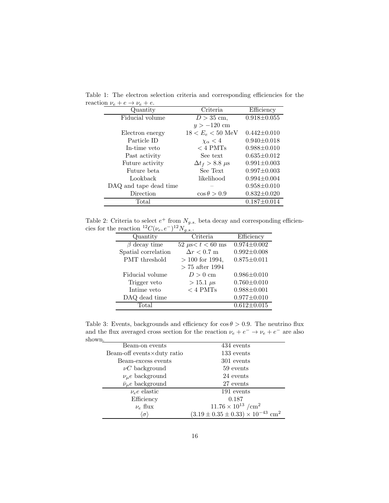| Criteria                   | Efficiency        |
|----------------------------|-------------------|
| $D > 35$ cm,               | $0.918 \pm 0.055$ |
| $y > -120$ cm              |                   |
| $18 < E_e < 50$ MeV        | $0.442 \pm 0.010$ |
| $\chi_{\alpha}$ < 4        | $0.940 \pm 0.018$ |
| $<$ 4 PMTs                 | $0.988 \pm 0.010$ |
| See text                   | $0.635 \pm 0.012$ |
| $\Delta t_f > 8.8 \ \mu s$ | $0.991 \pm 0.003$ |
| See Text                   | $0.997 \pm 0.003$ |
| likelihood                 | $0.994 \pm 0.004$ |
|                            | $0.958 \pm 0.010$ |
| $\cos \theta > 0.9$        | $0.832 \pm 0.020$ |
|                            | $0.187 \pm 0.014$ |
|                            |                   |

<span id="page-17-0"></span>Table 1: The electron selection criteria and corresponding efficiencies for the reactio

Table 2: Criteria to select  $e^+$  from  $N_{g.s.}$  beta decay and corresponding efficiencies for the reaction  ${}^{12}C(\nu_e, e^-){}^{12}N_{g.s.}$ .

| Quantity            | Criteria               | Efficiency        |
|---------------------|------------------------|-------------------|
| $\beta$ decay time  | 52 $\mu$ s < t < 60 ms | $0.974 \pm 0.002$ |
| Spatial correlation | $\Delta r < 0.7$ m     | $0.992 \pm 0.008$ |
| PMT threshold       | $> 100$ for 1994,      | $0.875 \pm 0.011$ |
|                     | $> 75$ after 1994      |                   |
| Fiducial volume     | $D>0$ cm               | $0.986 \pm 0.010$ |
| Trigger veto        | $> 15.1 \ \mu s$       | $0.760 \pm 0.010$ |
| Intime veto         | $<$ 4 PMTs             | $0.988 \pm 0.001$ |
| DAQ dead time       |                        | $0.977 \pm 0.010$ |
| Total               |                        | $0.612 \pm 0.015$ |
|                     |                        |                   |

Table 3: Events, backgrounds and efficiency for  $\cos \theta > 0.9$ . The neutrino flux and the flux averaged cross section for the reaction  $\nu_e + e^- \rightarrow \nu_e + e^-$  are also shown.

| Beam-on events                      | 434 events                                                 |
|-------------------------------------|------------------------------------------------------------|
| Beam-off events $\times$ duty ratio | 133 events                                                 |
| Beam-excess events                  | 301 events                                                 |
| $\nu C$ background                  | 59 events                                                  |
| $\nu_{\mu}e$ background             | 24 events                                                  |
| $\bar{\nu}_\mu e$ background        | 27 events                                                  |
| $\nu_e e$ elastic                   | 191 events                                                 |
| Efficiency                          | 0.187                                                      |
| $\nu_e$ flux                        | $11.76 \times 10^{13}$ /cm <sup>2</sup>                    |
| $\langle \sigma \rangle$            | $(3.19 \pm 0.35 \pm 0.33) \times 10^{-43}$ cm <sup>2</sup> |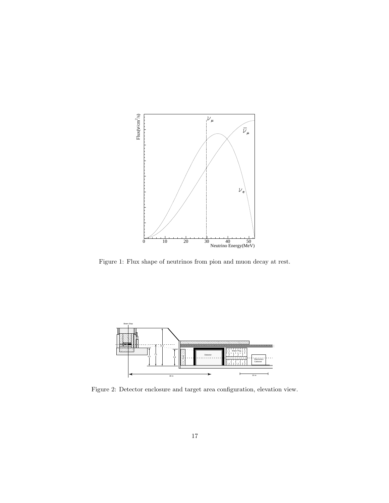<span id="page-18-0"></span>

Figure 1: Flux shape of neutrinos from pion and muon decay at rest.



Figure 2: Detector enclosure and target area configuration, elevation view.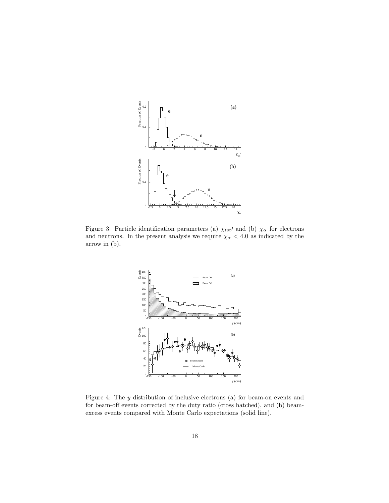<span id="page-19-0"></span>

Figure 3: Particle identification parameters (a)  $\chi_{tot}$  and (b)  $\chi_{\alpha}$  for electrons and neutrons. In the present analysis we require  $\chi_{\alpha} < 4.0$  as indicated by the arrow in (b).



Figure 4: The y distribution of inclusive electrons (a) for beam-on events and for beam-off events corrected by the duty ratio (cross hatched), and (b) beamexcess events compared with Monte Carlo expectations (solid line).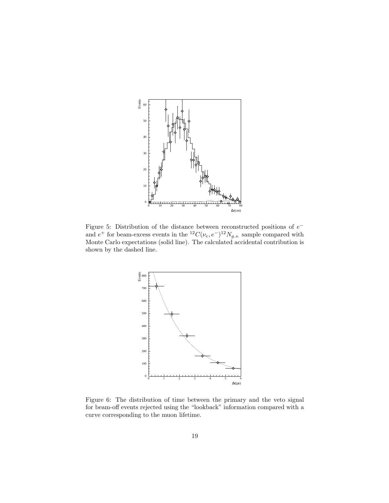<span id="page-20-0"></span>

Figure 5: Distribution of the distance between reconstructed positions of  $e^$ and  $e^+$  for beam-excess events in the  ${}^{12}C(\nu_e, e^-){}^{12}N_{g.s.}$  sample compared with Monte Carlo expectations (solid line). The calculated accidental contribution is shown by the dashed line.



Figure 6: The distribution of time between the primary and the veto signal for beam-off events rejected using the "lookback" information compared with a curve corresponding to the muon lifetime.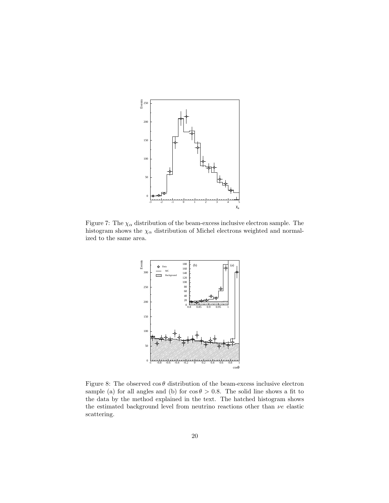<span id="page-21-0"></span>

Figure 7: The  $\chi_{\alpha}$  distribution of the beam-excess inclusive electron sample. The histogram shows the  $\chi_{\alpha}$  distribution of Michel electrons weighted and normalized to the same area.



Figure 8: The observed  $\cos \theta$  distribution of the beam-excess inclusive electron sample (a) for all angles and (b) for  $\cos \theta > 0.8$ . The solid line shows a fit to the data by the method explained in the text. The hatched histogram shows the estimated background level from neutrino reactions other than  $\nu e$  elastic scattering.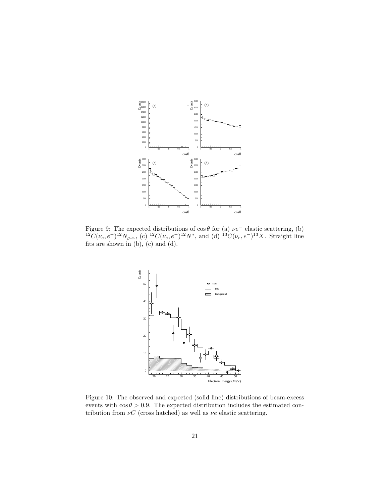<span id="page-22-0"></span>

Figure 9: The expected distributions of  $\cos \theta$  for (a)  $\nu e^-$  elastic scattering, (b)  ${}^{12}\tilde{C}(\nu_e,e^-){}^{12}N_{g.s.}$ , (c)  ${}^{12}C(\nu_e,e^-){}^{12}N^*$ , and (d)  ${}^{13}C(\nu_e,e^-){}^{13}X$ . Straight line fits are shown in  $(b)$ ,  $(c)$  and  $(d)$ .



Figure 10: The observed and expected (solid line) distributions of beam-excess events with  $\cos \theta > 0.9$ . The expected distribution includes the estimated contribution from  $\nu C$  (cross hatched) as well as  $\nu e$  elastic scattering.